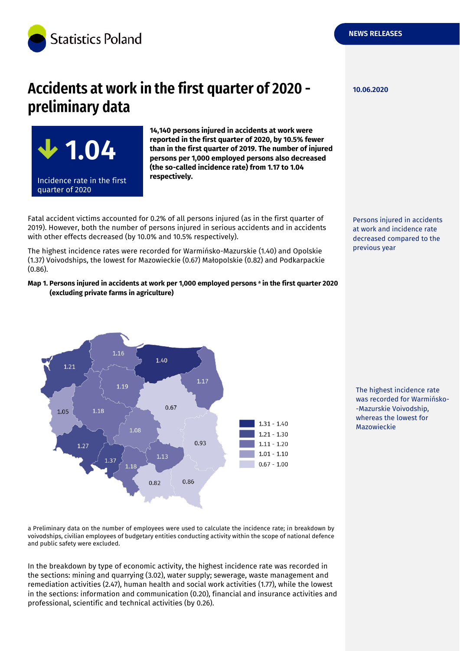

**1.04**

Incidence rate in the first

quarter of 2020

# Accidents at work in the first quarter of 2020 preliminary data



Fatal accident victims accounted for 0.2% of all persons injured (as in the first quarter of 2019). However, both the number of persons injured in serious accidents and in accidents with other effects decreased (by 10.0% and 10.5% respectively).

The highest incidence rates were recorded for Warmińsko-Mazurskie (1.40) and Opolskie (1.37) Voivodships, the lowest for Mazowieckie (0.67) Małopolskie (0.82) and Podkarpackie (0.86).

#### **Map 1. Persons injured in accidents at work per 1,000 employed persons <sup>a</sup> in the first quarter 2020 (excluding private farms in agriculture)**



The highest incidence rate was recorded for Warmińsko- -Mazurskie Voivodship, whereas the lowest for Mazowieckie

a Preliminary data on the number of employees were used to calculate the incidence rate; in breakdown by voivodships, civilian employees of budgetary entities conducting activity within the scope of national defence and public safety were excluded.

In the breakdown by type of economic activity, the highest incidence rate was recorded in the sections: mining and quarrying (3.02), water supply; sewerage, waste management and remediation activities (2.47), human health and social work activities (1.77), while the lowest in the sections: information and communication (0.20), financial and insurance activities and professional, scientific and technical activities (by 0.26).

**10.06.2020**

Persons injured in accidents at work and incidence rate decreased compared to the previous year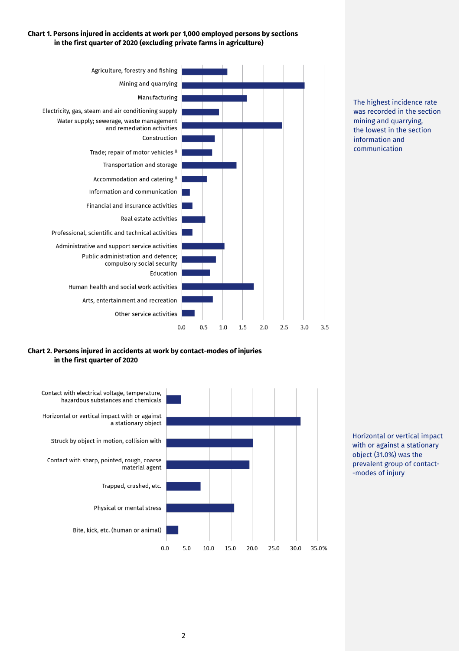## **Chart 1. Persons injured in accidents at work per 1,000 employed persons by sections in the first quarter of 2020 (excluding private farms in agriculture)**



The highest incidence rate was recorded in the section mining and quarrying, the lowest in the section information and communication

## **Chart 2. Persons injured in accidents at work by contact-modes of injuries in the first quarter of 2020**



Horizontal or vertical impact with or against a stationary object (31.0%) was the prevalent group of contact- -modes of injury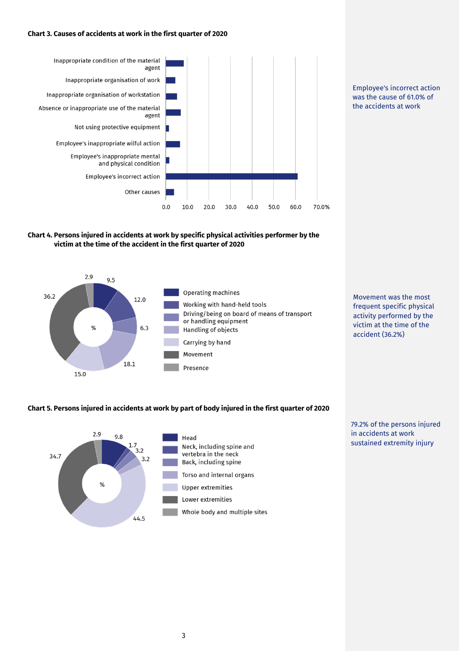#### **Chart 3. Causes of accidents at work in the first quarter of 2020**



Employee's incorrect action was the cause of 61.0% of the accidents at work

## **Chart 4. Persons injured in accidents at work by specific physical activities performer by the victim at the time of the accident in the first quarter of 2020**



Movement was the most frequent specific physical activity performed by the victim at the time of the accident (36.2%)

#### **Chart 5. Persons injured in accidents at work by part of body injured in the first quarter of 2020**



79.2% of the persons injured in accidents at work sustained extremity injury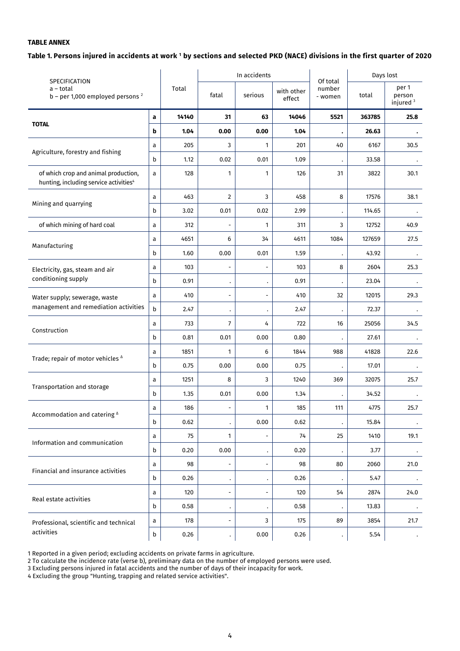## **TABLE ANNEX**

#### **Table 1. Persons injured in accidents at work <sup>1</sup> by sections and selected PKD (NACE) divisions in the first quarter of 2020**

| SPECIFICATION<br>a – total<br>$b$ – per 1,000 employed persons $2$                         |   |       |                          | In accidents                 |                      | Of total          | Days lost |                                         |
|--------------------------------------------------------------------------------------------|---|-------|--------------------------|------------------------------|----------------------|-------------------|-----------|-----------------------------------------|
|                                                                                            |   | Total | fatal                    | serious                      | with other<br>effect | number<br>- women | total     | per 1<br>person<br>injured <sup>3</sup> |
|                                                                                            | a | 14140 | 31                       | 63                           | 14046                | 5521              | 363785    | 25.8                                    |
| <b>TOTAL</b>                                                                               | b | 1.04  | 0.00                     | 0.00                         | 1.04                 |                   | 26.63     |                                         |
| Agriculture, forestry and fishing                                                          | a | 205   | 3                        | 1                            | 201                  | 40                | 6167      | 30.5                                    |
|                                                                                            | b | 1.12  | 0.02                     | 0.01                         | 1.09                 |                   | 33.58     |                                         |
| of which crop and animal production,<br>hunting, including service activities <sup>4</sup> | a | 128   | 1                        | 1                            | 126                  | 31                | 3822      | 30.1                                    |
|                                                                                            | a | 463   | $\overline{2}$           | 3                            | 458                  | 8                 | 17576     | 38.1                                    |
| Mining and quarrying                                                                       | b | 3.02  | 0.01                     | 0.02                         | 2.99                 |                   | 114.65    |                                         |
| of which mining of hard coal                                                               | a | 312   | $\overline{\phantom{a}}$ | 1                            | 311                  | 3                 | 12752     | 40.9                                    |
|                                                                                            | a | 4651  | 6                        | 34                           | 4611                 | 1084              | 127659    | 27.5                                    |
| Manufacturing                                                                              | b | 1.60  | 0.00                     | 0.01                         | 1.59                 |                   | 43.92     |                                         |
| Electricity, gas, steam and air                                                            | a | 103   | $\overline{\phantom{0}}$ | $\overline{a}$               | 103                  | 8                 | 2604      | 25.3                                    |
| conditioning supply                                                                        | b | 0.91  | $\bullet$                | $\bullet$                    | 0.91                 |                   | 23.04     |                                         |
| Water supply; sewerage, waste<br>management and remediation activities                     | a | 410   | $\overline{\phantom{a}}$ | $\overline{\phantom{a}}$     | 410                  | 32                | 12015     | 29.3                                    |
|                                                                                            | b | 2.47  | $\bullet$                | $\bullet$                    | 2.47                 |                   | 72.37     |                                         |
| Construction                                                                               | a | 733   | 7                        | 4                            | 722                  | 16                | 25056     | 34.5                                    |
|                                                                                            | b | 0.81  | 0.01                     | 0.00                         | 0.80                 |                   | 27.61     |                                         |
| Trade; repair of motor vehicles <sup>^</sup>                                               | a | 1851  | 1                        | 6                            | 1844                 | 988               | 41828     | 22.6                                    |
|                                                                                            | b | 0.75  | 0.00                     | 0.00                         | 0.75                 |                   | 17.01     |                                         |
| Transportation and storage                                                                 | a | 1251  | 8                        | 3                            | 1240                 | 369               | 32075     | 25.7                                    |
|                                                                                            | b | 1.35  | 0.01                     | 0.00                         | 1.34                 |                   | 34.52     |                                         |
| Accommodation and catering $\triangle$                                                     | a | 186   | $\overline{\phantom{a}}$ | 1                            | 185                  | 111               | 4775      | 25.7                                    |
|                                                                                            | b | 0.62  | $\cdot$                  | 0.00                         | 0.62                 |                   | 15.84     |                                         |
| Information and communication                                                              | a | 75    | 1                        | $\overline{\phantom{0}}$     | 74                   | 25                | 1410      | 19.1                                    |
|                                                                                            | b | 0.20  | 0.00                     | $\bullet$                    | 0.20                 |                   | 3.77      |                                         |
| Financial and insurance activities                                                         | a | 98    | $\frac{1}{2}$            | $\qquad \qquad \blacksquare$ | 98                   | 80                | 2060      | 21.0                                    |
|                                                                                            | b | 0.26  | $\bullet$                | $\bullet$                    | 0.26                 |                   | 5.47      |                                         |
| Real estate activities                                                                     | a | 120   | $\overline{\phantom{0}}$ | $\overline{\phantom{a}}$     | 120                  | 54                | 2874      | 24.0                                    |
|                                                                                            | b | 0.58  | $\bullet$                | $\bullet$                    | 0.58                 |                   | 13.83     |                                         |
| Professional, scientific and technical                                                     | a | 178   | $\overline{\phantom{m}}$ | 3                            | 175                  | 89                | 3854      | 21.7                                    |
| activities                                                                                 |   | 0.26  | $\bullet$                | 0.00                         | 0.26                 |                   | 5.54      |                                         |

1 Reported in a given period; excluding accidents on private farms in agriculture.

2 To calculate the incidence rate (verse b), preliminary data on the number of employed persons were used.

3 Excluding persons injured in fatal accidents and the number of days of their incapacity for work.

4 Excluding the group "Hunting, trapping and related service activities".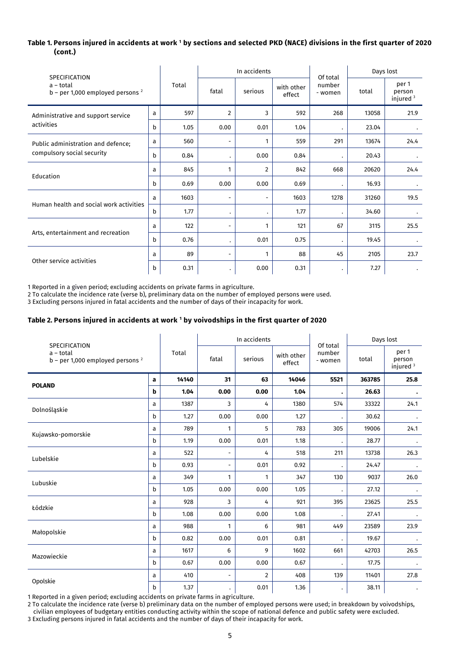## **Table 1. Persons injured in accidents at work <sup>1</sup> by sections and selected PKD (NACE) divisions in the first quarter of 2020 (cont.)**

| <b>SPECIFICATION</b><br>a - total<br>$b$ – per 1,000 employed persons <sup>2</sup> |   |       |                          | In accidents   |                      | Of total          | Days lost |                                |
|------------------------------------------------------------------------------------|---|-------|--------------------------|----------------|----------------------|-------------------|-----------|--------------------------------|
|                                                                                    |   | Total | fatal                    | serious        | with other<br>effect | number<br>- women | total     | per 1<br>person<br>injured $3$ |
| Administrative and support service                                                 | a | 597   | $\overline{2}$           | 3              | 592                  | 268               | 13058     | 21.9                           |
| activities                                                                         | b | 1.05  | 0.00                     | 0.01           | 1.04                 |                   | 23.04     | $\bullet$                      |
| Public administration and defence;<br>compulsory social security                   | a | 560   | $\overline{\phantom{a}}$ |                | 559                  | 291               | 13674     | 24.4                           |
|                                                                                    | b | 0.84  | $\ddot{\phantom{0}}$     | 0.00           | 0.84                 |                   | 20.43     |                                |
| Education                                                                          | a | 845   | 1                        | $\overline{2}$ | 842                  | 668               | 20620     | 24.4                           |
|                                                                                    | b | 0.69  | 0.00                     | 0.00           | 0.69                 |                   | 16.93     |                                |
| Human health and social work activities                                            | a | 1603  | Ξ.                       |                | 1603                 | 1278              | 31260     | 19.5                           |
|                                                                                    | b | 1.77  | ٠                        |                | 1.77                 |                   | 34.60     |                                |
| Arts, entertainment and recreation                                                 | a | 122   | $\overline{\phantom{a}}$ | 1              | 121                  | 67                | 3115      | 25.5                           |
|                                                                                    | b | 0.76  | $\ddot{\phantom{0}}$     | 0.01           | 0.75                 |                   | 19.45     |                                |
|                                                                                    | a | 89    | ۰.                       | 1              | 88                   | 45                | 2105      | 23.7                           |
| Other service activities                                                           |   | 0.31  | ٠                        | 0.00           | 0.31                 |                   | 7.27      |                                |

1 Reported in a given period; excluding accidents on private farms in agriculture.

2 To calculate the incidence rate (verse b), preliminary data on the number of employed persons were used.

3 Excluding persons injured in fatal accidents and the number of days of their incapacity for work.

#### **Table 2. Persons injured in accidents at work <sup>1</sup> by voivodships in the first quarter of 2020**

| SPECIFICATION<br>a - total<br>$b$ – per 1,000 employed persons <sup>2</sup> |   |       |                          | In accidents   |                      | Of total          | Days lost |                                         |
|-----------------------------------------------------------------------------|---|-------|--------------------------|----------------|----------------------|-------------------|-----------|-----------------------------------------|
|                                                                             |   | Total | fatal                    | serious        | with other<br>effect | number<br>- women | total     | per 1<br>person<br>injured <sup>3</sup> |
| <b>POLAND</b>                                                               | a | 14140 | 31                       | 63             | 14046                | 5521              | 363785    | 25.8                                    |
|                                                                             | b | 1.04  | 0.00                     | 0.00           | 1.04                 |                   | 26.63     |                                         |
|                                                                             | a | 1387  | 3                        | 4              | 1380                 | 574               | 33322     | 24.1                                    |
| Dolnośląskie                                                                | b | 1.27  | 0.00                     | 0.00           | 1.27                 |                   | 30.62     |                                         |
| Kujawsko-pomorskie                                                          | a | 789   | 1                        | 5              | 783                  | 305               | 19006     | 24.1                                    |
|                                                                             | b | 1.19  | 0.00                     | 0.01           | 1.18                 |                   | 28.77     |                                         |
| Lubelskie                                                                   | a | 522   | $\overline{\phantom{a}}$ | 4              | 518                  | 211               | 13738     | 26.3                                    |
|                                                                             | b | 0.93  | $\overline{\phantom{a}}$ | 0.01           | 0.92                 |                   | 24.47     |                                         |
| Lubuskie                                                                    | a | 349   | 1                        | $\mathbf{1}$   | 347                  | 130               | 9037      | 26.0                                    |
|                                                                             | b | 1.05  | 0.00                     | 0.00           | 1.05                 |                   | 27.12     |                                         |
| Łódzkie                                                                     | a | 928   | 3                        | 4              | 921                  | 395               | 23625     | 25.5                                    |
|                                                                             | b | 1.08  | 0.00                     | 0.00           | 1.08                 |                   | 27.41     |                                         |
|                                                                             | a | 988   | 1                        | 6              | 981                  | 449               | 23589     | 23.9                                    |
| Małopolskie                                                                 | b | 0.82  | 0.00                     | 0.01           | 0.81                 |                   | 19.67     |                                         |
| Mazowieckie                                                                 | a | 1617  | 6                        | 9              | 1602                 | 661               | 42703     | 26.5                                    |
|                                                                             | b | 0.67  | 0.00                     | 0.00           | 0.67                 |                   | 17.75     |                                         |
| Opolskie                                                                    | a | 410   | $\overline{\phantom{a}}$ | $\overline{2}$ | 408                  | 139               | 11401     | 27.8                                    |
|                                                                             | b | 1.37  | $\bullet$                | 0.01           | 1.36                 |                   | 38.11     |                                         |

1 Reported in a given period; excluding accidents on private farms in agriculture.

2 To calculate the incidence rate (verse b) preliminary data on the number of employed persons were used; in breakdown by voivodships, civilian employees of budgetary entities conducting activity within the scope of national defence and public safety were excluded. 3 Excluding persons injured in fatal accidents and the number of days of their incapacity for work.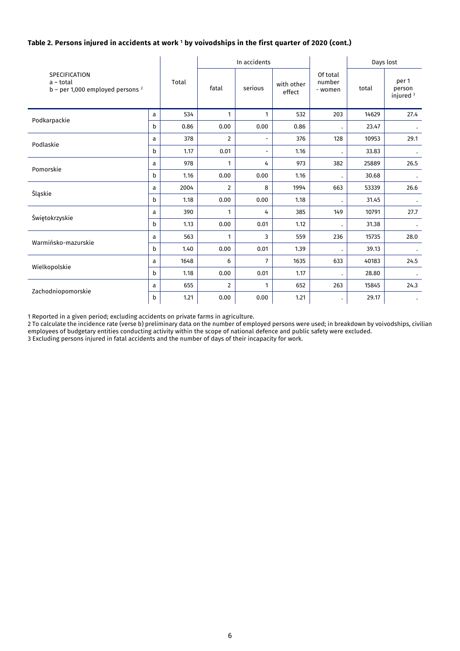## **Table 2. Persons injured in accidents at work <sup>1</sup> by voivodships in the first quarter of 2020 (cont.)**

| <b>SPECIFICATION</b><br>a – total<br>$b$ – per 1,000 employed persons <sup>2</sup> |              |       |                | In accidents             |                      |                               | Days lost |                                         |
|------------------------------------------------------------------------------------|--------------|-------|----------------|--------------------------|----------------------|-------------------------------|-----------|-----------------------------------------|
|                                                                                    |              | Total | fatal          | serious                  | with other<br>effect | Of total<br>number<br>- women | total     | per 1<br>person<br>injured <sup>3</sup> |
| Podkarpackie                                                                       | a            | 534   | $\mathbf{1}$   | $\mathbf{1}$             | 532                  | 203                           | 14629     | 27.4                                    |
|                                                                                    | b            | 0.86  | 0.00           | 0.00                     | 0.86                 |                               | 23.47     |                                         |
| Podlaskie                                                                          | a            | 378   | $\overline{2}$ | $\overline{\phantom{0}}$ | 376                  | 128                           | 10953     | 29.1                                    |
|                                                                                    | b            | 1.17  | 0.01           | $\overline{\phantom{0}}$ | 1.16                 |                               | 33.83     |                                         |
| Pomorskie                                                                          | a            | 978   | 1              | 4                        | 973                  | 382                           | 25889     | 26.5                                    |
|                                                                                    | $\mathsf{b}$ | 1.16  | 0.00           | 0.00                     | 1.16                 | $\bullet$                     | 30.68     |                                         |
| Śląskie                                                                            | a            | 2004  | $\overline{2}$ | 8                        | 1994                 | 663                           | 53339     | 26.6                                    |
|                                                                                    | b            | 1.18  | 0.00           | 0.00                     | 1.18                 |                               | 31.45     |                                         |
|                                                                                    | a            | 390   | 1              | 4                        | 385                  | 149                           | 10791     | 27.7                                    |
| Świętokrzyskie                                                                     | b            | 1.13  | 0.00           | 0.01                     | 1.12                 |                               | 31.38     |                                         |
|                                                                                    | a            | 563   | 1              | 3                        | 559                  | 236                           | 15735     | 28.0                                    |
| Warmińsko-mazurskie                                                                | b            | 1.40  | 0.00           | 0.01                     | 1.39                 |                               | 39.13     |                                         |
| Wielkopolskie                                                                      | a            | 1648  | 6              | $\overline{7}$           | 1635                 | 633                           | 40183     | 24.5                                    |
|                                                                                    | b            | 1.18  | 0.00           | 0.01                     | 1.17                 |                               | 28.80     |                                         |
| Zachodniopomorskie                                                                 | a            | 655   | $\overline{2}$ | 1                        | 652                  | 263                           | 15845     | 24.3                                    |
|                                                                                    | b            | 1.21  | 0.00           | 0.00                     | 1.21                 |                               | 29.17     |                                         |

1 Reported in a given period; excluding accidents on private farms in agriculture.

2 To calculate the incidence rate (verse b) preliminary data on the number of employed persons were used; in breakdown by voivodships, civilian employees of budgetary entities conducting activity within the scope of national defence and public safety were excluded.

3 Excluding persons injured in fatal accidents and the number of days of their incapacity for work.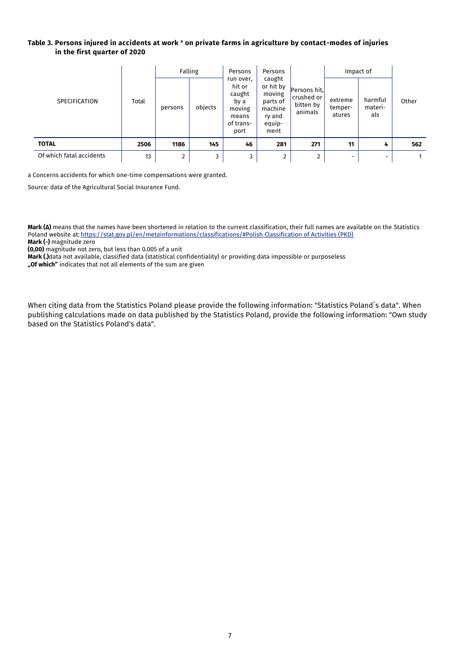#### **Table 3. Persons injured in accidents at work <sup>a</sup> on private farms in agriculture by contact-modes of injuries in the first quarter of 2020**

|                          |       |         | Falling | Persons                                                                       | Persons                                                                          |                                                    | Impact of                    |                           |       |
|--------------------------|-------|---------|---------|-------------------------------------------------------------------------------|----------------------------------------------------------------------------------|----------------------------------------------------|------------------------------|---------------------------|-------|
| <b>SPECIFICATION</b>     | Total | persons | objects | run over,<br>hit or<br>caught<br>by a<br>moving<br>means<br>of trans-<br>port | caught<br>or hit by<br>moving<br>parts of<br>machine<br>ry and<br>equip-<br>ment | Persons hit,<br>crushed or<br>bitten by<br>animals | extreme<br>temper-<br>atures | harmful<br>materi-<br>als | Other |
| <b>TOTAL</b>             | 2506  | 1186    | 145     | 46                                                                            | 281                                                                              | 271                                                | 11                           | 4                         | 562   |
| Of which fatal accidents | 13    | 2       | 3       | 3                                                                             | $\overline{2}$                                                                   | $\overline{2}$                                     | -                            |                           |       |

a Concerns accidents for which one-time compensations were granted.

Source: data of the Agricultural Social Insurance Fund.

**Mark (Δ)** means that the names have been shortened in relation to the current classification, their full names are available on the Statistics Poland website at: https://stat.gov.pl/en/metainformations/classifications/#Polish Classification of Activities (PKD)

**Mark (-)** magnitude zero **(0,00)** magnitude not zero, but less than 0.005 of a unit

**Mark (.)**data not available, classified data (statistical confidentiality) or providing data impossible or purposeless

**"Of which"** indicates that not all elements of the sum are given

When citing data from the Statistics Poland please provide the following information: "Statistics Poland`s data". When publishing calculations made on data published by the Statistics Poland, provide the following information: "Own study based on the Statistics Poland's data".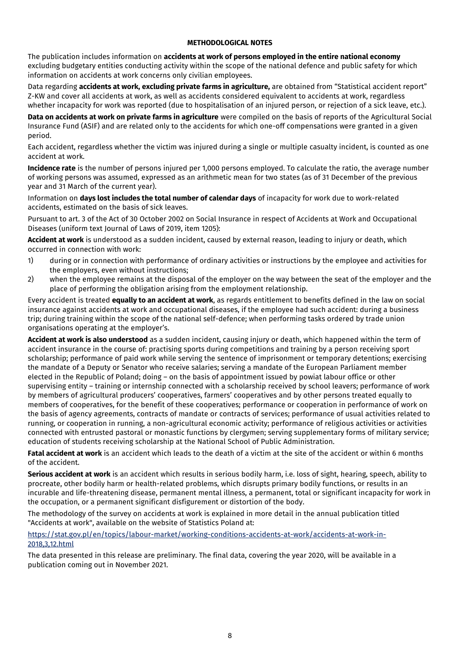## **METHODOLOGICAL NOTES**

The publication includes information on **accidents at work of persons employed in the entire national economy** excluding budgetary entities conducting activity within the scope of the national defence and public safety for which information on accidents at work concerns only civilian employees.

Data regarding **accidents at work, excluding private farms in agriculture,** are obtained from "Statistical accident report" Z-KW and cover all accidents at work, as well as accidents considered equivalent to accidents at work, regardless whether incapacity for work was reported (due to hospitalisation of an injured person, or rejection of a sick leave, etc.).

**Data on accidents at work on private farms in agriculture** were compiled on the basis of reports of the Agricultural Social Insurance Fund (ASIF) and are related only to the accidents for which one-off compensations were granted in a given period.

Each accident, regardless whether the victim was injured during a single or multiple casualty incident, is counted as one accident at work.

**Incidence rate** is the number of persons injured per 1,000 persons employed. To calculate the ratio, the average number of working persons was assumed, expressed as an arithmetic mean for two states (as of 31 December of the previous year and 31 March of the current year).

Information on **days lost includes the total number of calendar days** of incapacity for work due to work-related accidents, estimated on the basis of sick leaves.

Pursuant to art. 3 of the Act of 30 October 2002 on Social Insurance in respect of Accidents at Work and Occupational Diseases (uniform text Journal of Laws of 2019, item 1205):

**Accident at work** is understood as a sudden incident, caused by external reason, leading to injury or death, which occurred in connection with work:

- 1) during or in connection with performance of ordinary activities or instructions by the employee and activities for the employers, even without instructions;
- 2) when the employee remains at the disposal of the employer on the way between the seat of the employer and the place of performing the obligation arising from the employment relationship.

Every accident is treated **equally to an accident at work**, as regards entitlement to benefits defined in the law on social insurance against accidents at work and occupational diseases, if the employee had such accident: during a business trip; during training within the scope of the national self-defence; when performing tasks ordered by trade union organisations operating at the employer's.

**Accident at work is also understood** as a sudden incident, causing injury or death, which happened within the term of accident insurance in the course of: practising sports during competitions and training by a person receiving sport scholarship; performance of paid work while serving the sentence of imprisonment or temporary detentions; exercising the mandate of a Deputy or Senator who receive salaries; serving a mandate of the European Parliament member elected in the Republic of Poland; doing – on the basis of appointment issued by powiat labour office or other supervising entity – training or internship connected with a scholarship received by school leavers; performance of work by members of agricultural producers' cooperatives, farmers' cooperatives and by other persons treated equally to members of cooperatives, for the benefit of these cooperatives; performance or cooperation in performance of work on the basis of agency agreements, contracts of mandate or contracts of services; performance of usual activities related to running, or cooperation in running, a non-agricultural economic activity; performance of religious activities or activities connected with entrusted pastoral or monastic functions by clergymen; serving supplementary forms of military service; education of students receiving scholarship at the National School of Public Administration.

**Fatal accident at work** is an accident which leads to the death of a victim at the site of the accident or within 6 months of the accident.

**Serious accident at work** is an accident which results in serious bodily harm, i.e. loss of sight, hearing, speech, ability to procreate, other bodily harm or health-related problems, which disrupts primary bodily functions, or results in an incurable and life-threatening disease, permanent mental illness, a permanent, total or significant incapacity for work in the occupation, or a permanent significant disfigurement or distortion of the body.

The methodology of the survey on accidents at work is explained in more detail in the annual publication titled "Accidents at work", available on the website of Statistics Poland at:

## [https://stat.gov.pl/en/topics/labour-market/working-conditions-accidents-at-work/accidents-at-work-in-](https://stat.gov.pl/en/topics/labour-market/working-conditions-accidents-at-work/accidents-at-work-in-2018,3,12.html)[2018,3,12.html](https://stat.gov.pl/en/topics/labour-market/working-conditions-accidents-at-work/accidents-at-work-in-2018,3,12.html)

The data presented in this release are preliminary. The final data, covering the year 2020, will be available in a publication coming out in November 2021.